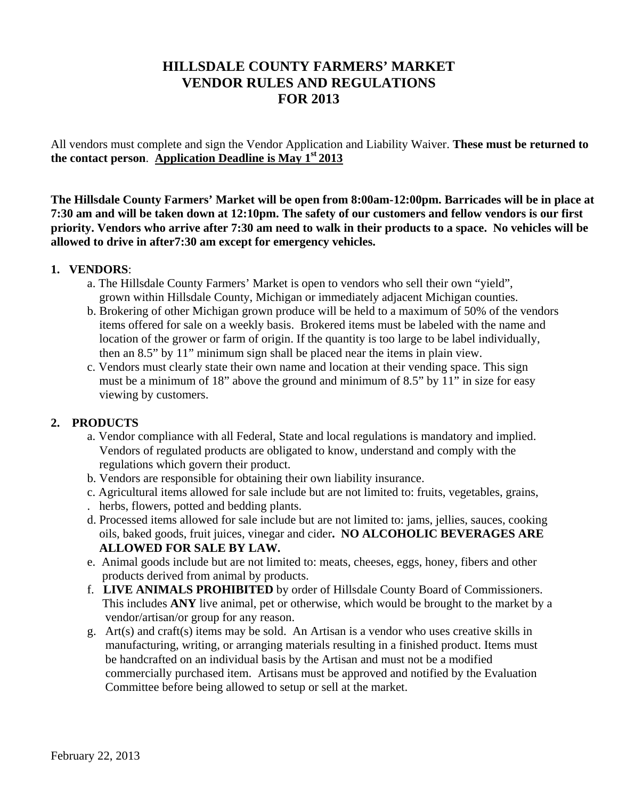# **HILLSDALE COUNTY FARMERS' MARKET VENDOR RULES AND REGULATIONS FOR 2013**

All vendors must complete and sign the Vendor Application and Liability Waiver. **These must be returned to the contact person**. **Application Deadline is May 1st 2013**

**The Hillsdale County Farmers' Market will be open from 8:00am-12:00pm. Barricades will be in place at 7:30 am and will be taken down at 12:10pm. The safety of our customers and fellow vendors is our first priority. Vendors who arrive after 7:30 am need to walk in their products to a space. No vehicles will be allowed to drive in after7:30 am except for emergency vehicles.** 

#### **1. VENDORS**:

- a. The Hillsdale County Farmers' Market is open to vendors who sell their own "yield", grown within Hillsdale County, Michigan or immediately adjacent Michigan counties.
- b. Brokering of other Michigan grown produce will be held to a maximum of 50% of the vendors items offered for sale on a weekly basis. Brokered items must be labeled with the name and location of the grower or farm of origin. If the quantity is too large to be label individually, then an 8.5" by 11" minimum sign shall be placed near the items in plain view.
- c. Vendors must clearly state their own name and location at their vending space. This sign must be a minimum of 18" above the ground and minimum of 8.5" by 11" in size for easy viewing by customers.

## **2. PRODUCTS**

- a. Vendor compliance with all Federal, State and local regulations is mandatory and implied. Vendors of regulated products are obligated to know, understand and comply with the regulations which govern their product.
- b. Vendors are responsible for obtaining their own liability insurance.
- c. Agricultural items allowed for sale include but are not limited to: fruits, vegetables, grains, . herbs, flowers, potted and bedding plants.
- d. Processed items allowed for sale include but are not limited to: jams, jellies, sauces, cooking oils, baked goods, fruit juices, vinegar and cider**. NO ALCOHOLIC BEVERAGES ARE ALLOWED FOR SALE BY LAW.**
- e. Animal goods include but are not limited to: meats, cheeses, eggs, honey, fibers and other products derived from animal by products.
- f. **LIVE ANIMALS PROHIBITED** by order of Hillsdale County Board of Commissioners. This includes ANY live animal, pet or otherwise, which would be brought to the market by a vendor/artisan/or group for any reason.
- g. Art(s) and craft(s) items may be sold. An Artisan is a vendor who uses creative skills in manufacturing, writing, or arranging materials resulting in a finished product. Items must be handcrafted on an individual basis by the Artisan and must not be a modified commercially purchased item. Artisans must be approved and notified by the Evaluation Committee before being allowed to setup or sell at the market.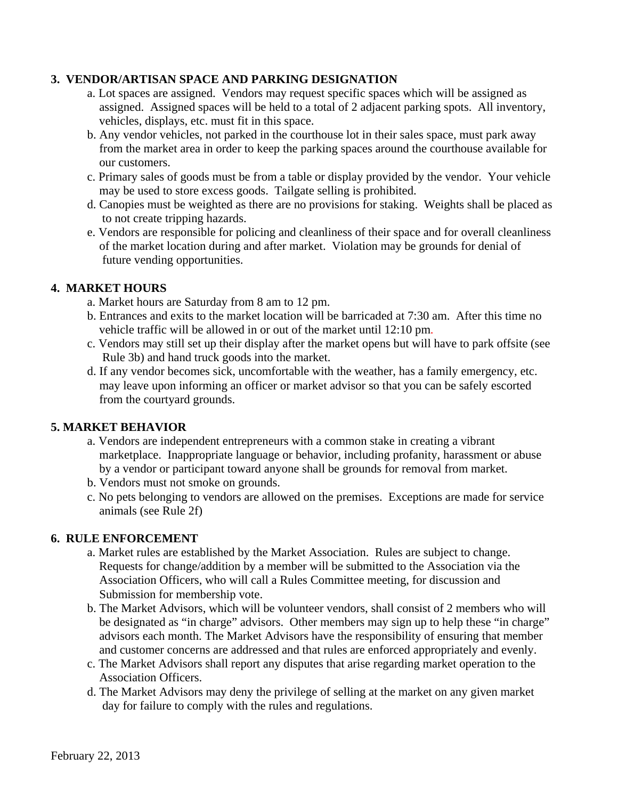#### **3. VENDOR/ARTISAN SPACE AND PARKING DESIGNATION**

- a. Lot spaces are assigned. Vendors may request specific spaces which will be assigned as assigned. Assigned spaces will be held to a total of 2 adjacent parking spots. All inventory, vehicles, displays, etc. must fit in this space.
- b. Any vendor vehicles, not parked in the courthouse lot in their sales space, must park away from the market area in order to keep the parking spaces around the courthouse available for our customers.
- c. Primary sales of goods must be from a table or display provided by the vendor. Your vehicle may be used to store excess goods. Tailgate selling is prohibited.
- d. Canopies must be weighted as there are no provisions for staking. Weights shall be placed as to not create tripping hazards.
- e. Vendors are responsible for policing and cleanliness of their space and for overall cleanliness of the market location during and after market. Violation may be grounds for denial of future vending opportunities.

#### **4. MARKET HOURS**

- a. Market hours are Saturday from 8 am to 12 pm.
- b. Entrances and exits to the market location will be barricaded at 7:30 am. After this time no vehicle traffic will be allowed in or out of the market until 12:10 pm.
- c. Vendors may still set up their display after the market opens but will have to park offsite (see Rule 3b) and hand truck goods into the market.
- d. If any vendor becomes sick, uncomfortable with the weather, has a family emergency, etc. may leave upon informing an officer or market advisor so that you can be safely escorted from the courtyard grounds.

## **5. MARKET BEHAVIOR**

- a. Vendors are independent entrepreneurs with a common stake in creating a vibrant marketplace. Inappropriate language or behavior, including profanity, harassment or abuse by a vendor or participant toward anyone shall be grounds for removal from market.
- b. Vendors must not smoke on grounds.
- c. No pets belonging to vendors are allowed on the premises. Exceptions are made for service animals (see Rule 2f)

#### **6. RULE ENFORCEMENT**

- a. Market rules are established by the Market Association. Rules are subject to change. Requests for change/addition by a member will be submitted to the Association via the Association Officers, who will call a Rules Committee meeting, for discussion and Submission for membership vote.
- b. The Market Advisors, which will be volunteer vendors, shall consist of 2 members who will be designated as "in charge" advisors. Other members may sign up to help these "in charge" advisors each month. The Market Advisors have the responsibility of ensuring that member and customer concerns are addressed and that rules are enforced appropriately and evenly.
- c. The Market Advisors shall report any disputes that arise regarding market operation to the Association Officers.
- d. The Market Advisors may deny the privilege of selling at the market on any given market day for failure to comply with the rules and regulations.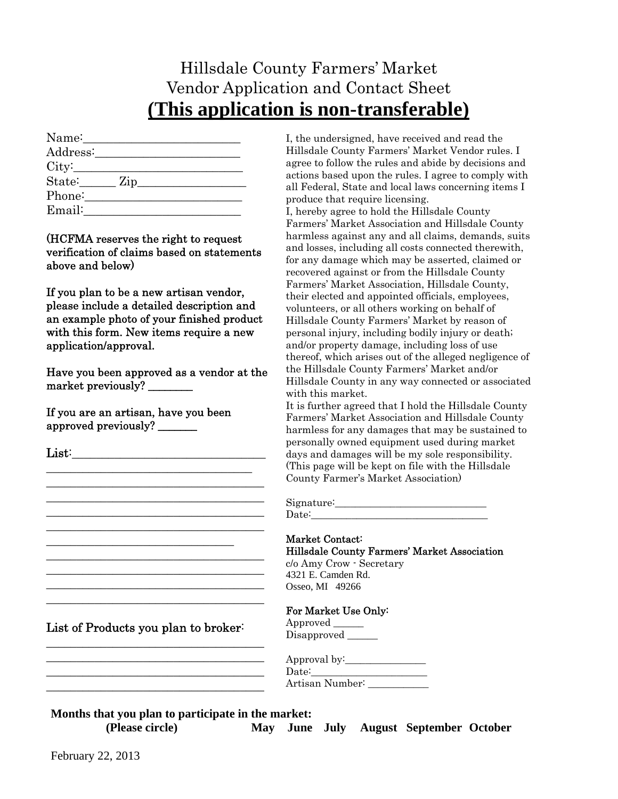# Hillsdale County Farmers' Market Vendor Application and Contact Sheet **(This application is non-transferable)**

| Name:    |  |                |
|----------|--|----------------|
| Address: |  |                |
| City:    |  |                |
| State:   |  | $\mathbf{Zip}$ |
| Phone:   |  |                |
| Email:   |  |                |

(HCFMA reserves the right to request verification of claims based on statements above and below)

If you plan to be a new artisan vendor, please include a detailed description and an example photo of your finished product with this form. New items require a new application/approval.

Have you been approved as a vendor at the market previously? \_\_\_\_\_\_\_\_

If you are an artisan, have you been approved previously? \_\_\_\_\_\_\_

\_\_\_\_\_\_\_\_\_\_\_\_\_\_\_\_\_\_\_\_\_\_\_\_\_\_\_\_\_\_\_\_\_\_ \_\_\_\_\_\_\_\_\_\_\_\_\_\_\_\_\_\_\_\_\_\_\_\_\_\_\_\_\_\_\_\_\_\_\_\_ \_\_\_\_\_\_\_\_\_\_\_\_\_\_\_\_\_\_\_\_\_\_\_\_\_\_\_\_\_\_\_\_\_\_\_\_ \_\_\_\_\_\_\_\_\_\_\_\_\_\_\_\_\_\_\_\_\_\_\_\_\_\_\_\_\_\_\_\_\_\_\_\_

| List of Products you plan to broker: |  |  |  |  |
|--------------------------------------|--|--|--|--|
|--------------------------------------|--|--|--|--|

\_\_\_\_\_\_\_\_\_\_\_\_\_\_\_\_\_\_\_\_\_\_\_\_\_\_\_\_\_\_\_\_\_\_\_\_ \_\_\_\_\_\_\_\_\_\_\_\_\_\_\_\_\_\_\_\_\_\_\_\_\_\_\_\_\_\_\_\_\_\_\_\_ \_\_\_\_\_\_\_\_\_\_\_\_\_\_\_\_\_\_\_\_\_\_\_\_\_\_\_\_\_\_\_\_\_\_\_\_ \_\_\_\_\_\_\_\_\_\_\_\_\_\_\_\_\_\_\_\_\_\_\_\_\_\_\_\_\_\_\_\_\_\_\_\_

\_\_\_\_\_\_\_\_\_\_\_\_\_\_\_\_\_\_\_\_\_\_\_\_\_\_\_\_\_\_\_ \_\_\_\_\_\_\_\_\_\_\_\_\_\_\_\_\_\_\_\_\_\_\_\_\_\_\_\_\_\_\_\_\_\_\_\_ \_\_\_\_\_\_\_\_\_\_\_\_\_\_\_\_\_\_\_\_\_\_\_\_\_\_\_\_\_\_\_\_\_\_\_\_ \_\_\_\_\_\_\_\_\_\_\_\_\_\_\_\_\_\_\_\_\_\_\_\_\_\_\_\_\_\_\_\_\_\_\_\_ \_\_\_\_\_\_\_\_\_\_\_\_\_\_\_\_\_\_\_\_\_\_\_\_\_\_\_\_\_\_\_\_\_\_\_\_

I, the undersigned, have received and read the Hillsdale County Farmers' Market Vendor rules. I agree to follow the rules and abide by decisions and actions based upon the rules. I agree to comply with all Federal, State and local laws concerning items I produce that require licensing.

I, hereby agree to hold the Hillsdale County Farmers' Market Association and Hillsdale County harmless against any and all claims, demands, suits and losses, including all costs connected therewith, for any damage which may be asserted, claimed or recovered against or from the Hillsdale County Farmers' Market Association, Hillsdale County, their elected and appointed officials, employees, volunteers, or all others working on behalf of Hillsdale County Farmers' Market by reason of personal injury, including bodily injury or death; and/or property damage, including loss of use thereof, which arises out of the alleged negligence of the Hillsdale County Farmers' Market and/or Hillsdale County in any way connected or associated with this market.

It is further agreed that I hold the Hillsdale County Farmers' Market Association and Hillsdale County harmless for any damages that may be sustained to personally owned equipment used during market days and damages will be my sole responsibility. (This page will be kept on file with the Hillsdale County Farmer's Market Association)

Signature:  $Date:$ 

#### Market Contact:

Hillsdale County Farmers' Market Association c/o Amy Crow - Secretary 4321 E. Camden Rd. Osseo, MI 49266

#### For Market Use Only:

| Approved    |  |
|-------------|--|
| Disapproved |  |

| Approval by:    |  |
|-----------------|--|
| $\text{Date}:$  |  |
| Artisan Number∶ |  |

# **Months that you plan to participate in the market:**

**(Please circle) May June July August September October**